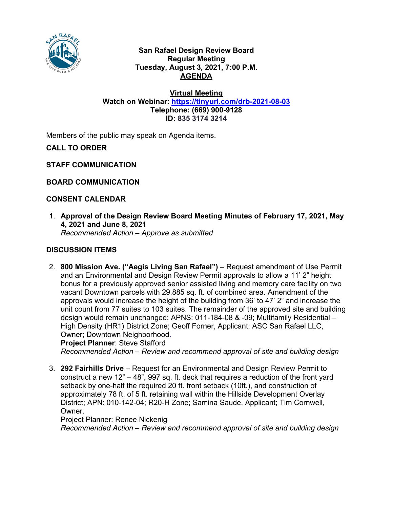

### **San Rafael Design Review Board Regular Meeting Tuesday, August 3, 2021, 7:00 P.M. AGENDA**

**Virtual Meeting Watch on Webinar: <https://tinyurl.com/drb-2021-08-03> Telephone: (669) 900-9128 ID: 835 3174 3214**

Members of the public may speak on Agenda items.

**CALL TO ORDER**

**STAFF COMMUNICATION**

**BOARD COMMUNICATION**

## **CONSENT CALENDAR**

1. **Approval of the Design Review Board Meeting Minutes of February 17, 2021, May 4, 2021 and June 8, 2021** *Recommended Action – Approve as submitted*

# **DISCUSSION ITEMS**

2. **800 Mission Ave. ("Aegis Living San Rafael")** – Request amendment of Use Permit and an Environmental and Design Review Permit approvals to allow a 11' 2" height bonus for a previously approved senior assisted living and memory care facility on two vacant Downtown parcels with 29,885 sq. ft. of combined area. Amendment of the approvals would increase the height of the building from 36' to 47' 2" and increase the unit count from 77 suites to 103 suites. The remainder of the approved site and building design would remain unchanged; APNS: 011-184-08 & -09; Multifamily Residential – High Density (HR1) District Zone; Geoff Forner, Applicant; ASC San Rafael LLC, Owner; Downtown Neighborhood.

**Project Planner**: Steve Stafford

*Recommended Action – Review and recommend approval of site and building design*

3. **292 Fairhills Drive** – Request for an Environmental and Design Review Permit to construct a new 12" – 48", 997 sq. ft. deck that requires a reduction of the front yard setback by one-half the required 20 ft. front setback (10ft.), and construction of approximately 78 ft. of 5 ft. retaining wall within the Hillside Development Overlay District; APN: 010-142-04; R20-H Zone; Samina Saude, Applicant; Tim Cornwell, Owner.

Project Planner: Renee Nickenig

*Recommended Action – Review and recommend approval of site and building design*